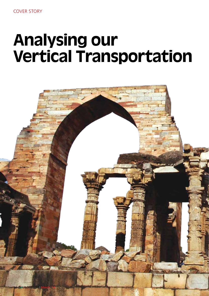# **Analysing our Vertical Transportation**

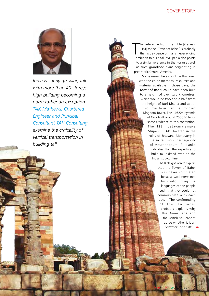### COVER STORY



*India is surely growing tall with more than 40 storeys high building becoming a norm rather an exception. TAK Mathews, Chartered Engineer and Principal Consultant TAK Consulting examine the criticality of vertical transportation in building tall.*

T he reference from the Bible (Genesis 11:4) to the "Tower of Babel" is probably the first evidence of man's never ending ambition to build tall. Wikipedia also points to a similar reference in the Koran as well as such grandiose plans originating in prehistoric Central America.

> Some researchers conclude that even with the crude methods, resources and material available in those days, the Tower of Babel could have been built to a height of over two kilometres, which would be two and a half times the height of Burj Khalifa and about two times taller than the proposed Kingdom Tower. The 146.5m Pyramid of Giza built around 2500BC lends some credence to this contention. The 122m Jetavanaramaya Stupa (300AD) located in the ruins of Jetavana Monastery in the sacred world heritage city of Anuradhapura, Sri Lanka indicates that the expertise to build tall existed even on the Indian sub-continent.

> > The Bible goes on to explain that the Tower of Babel was never completed because God intervened by confounding the languages of the people such that they could not communicate with each other. The confounding of the languages probably explains why the Americans and the British still cannot agree whether it is an "elevator" or a "lift".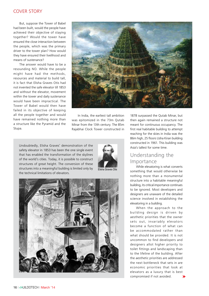#### COVER STORY

But, suppose the Tower of Babel had been built, would the people have achieved their objective of staying together? Would the tower have ensured the close interaction between the people, which was the primary driver to the tower plan? How would they have ensured their livelihood and means of sustenance?

The answer would have to be a resounding NO. While the people might have had the methods, resources and material to build tall, it is fact that Elisha Graves Otis had not invented the safe elevator till 1853 and without the elevator, movement within the tower and daily sustenance would have been impractical. The Tower of Babel would then have failed in its objective of keeping all the people together and would have remained nothing more than a structure like the Pyramid and the Stupa.



In India, the earliest tall ambition was epitomized in the 73m Qutab Minar from the 13th century. The 85m Rajabhai Clock Tower constructed in

Undoubtedly, Elisha Graves' demonstration of the safety elevator in 1853 has been the one single event that has enabled the transformation of the skylines of the world's cities. Today, it is possible to construct structures of great height. The conversion of these structures into a meaningful building is limited only by the technical limitations of elevators.



Elisha Graves Otis



1878 surpassed the Qutab Minar, but then again remained a structure not meant for continuous occupancy. The first real habitable building to attempt reaching for the skies in India was the 86m high, 25 floors Usha Kiran building constructed in 1961. This building was Asia's tallest for some time.

## Understanding the Importance

While elevatoring is what converts something that would otherwise be nothing more than a monumental structure into a habitable meaningful building, its critical importance continues to be ignored. Most developers and designers are unaware of the detailed science involved in establishing the elevatoring in a building.

When the approach to the building design is driven by aesthetic priorities that the owner sets out, invariably elevators become a function of what can be accommodated rather than what should be provided. It is not uncommon to find developers and designers allot higher priority to toilet fittings and landscaping than to the lifeline of the building. After the aesthetic priorities are addressed the next bottleneck that sets in are economic priorities that look at elevators as a luxury that is best compromised if not avoided.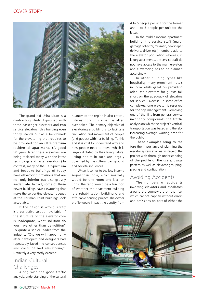#### COVER STORY



The grand old Usha Kiran is a contrasting study. Equipped with three passenger elevators and two service elevators, this building even today stands out as a benchmark for the elevatoring that requires to be provided for an ultra-premium residential apartment. (A good 50 years later these elevators are being replaced today with the latest technology and faster elevators.) In contrast, many of the ultra-premium and bespoke buildings of today have elevatoring provisions that are not only inferior but also grossly inadequate. In fact, some of these newer buildings have elevatoring that make the serpentine elevator queues at the Nariman Point buildings look acceptable.

If the design is wrong, rarely is a corrective solution available. If the structure or the elevator core is inadequate, what solution do you have other than demolition? To quote a senior leader from the industry, "Change will happen only after developers and designers had repeatedly faced the consequences and costs of bad elevatoring". Definitely a very costly exercise!

# Indian Cultural **Challenges**

Along with the good traffic analysis, understanding of the cultural

nuances of the region is also critical. Interestingly, this aspect is often overlooked. The primary objective of elevatoring a building is to facilitate circulation and movement of people (and goods) within a building. To this end it is vital to understand why and how people need to move, which is largely dictated by their living habits. Living habits in turn are largely governed by the cultural background and societal influences.

When it comes to the low-income segment in India, which normally would be one room and kitchen units, the ratio would be a function of whether the apartment building is a rehabilitation building orand affordable housing project. The owner profile would impact the density from

4 to 5 people per unit for the former and 1 to 3 people per unit for the latter.

In the middle income apartment building, the service staff (maid, garbage collector, milkman, newspaper delivery, driver etc.) numbers add to the elevator population whereas, in luxury apartments, the service staff do not have access to the main elevators and elevatoring has to be planned accordingly.

In other building types like hospitality, many prominent hotels in India while great on providing adequate elevators for guests fall short on the adequacy of elevators for service. Likewise, in some office complexes, one elevator is reserved for the top management. Removing one of the lifts from general service invariably compounds the traffic analysis on which the project's verticaltransportation was based and thereby increasing average waiting time for the public.

These examples bring to the fore the importance of planning the elevator system at an early stage of the project with thorough understanding of the profile of the users, usage pattern as well as elevator grouping, placing and configuration.

# Avoiding Accidents

The numbers of accidents involving elevators and escalators around the country are on the rise, which cannot happen without errors and omissions on part of either the